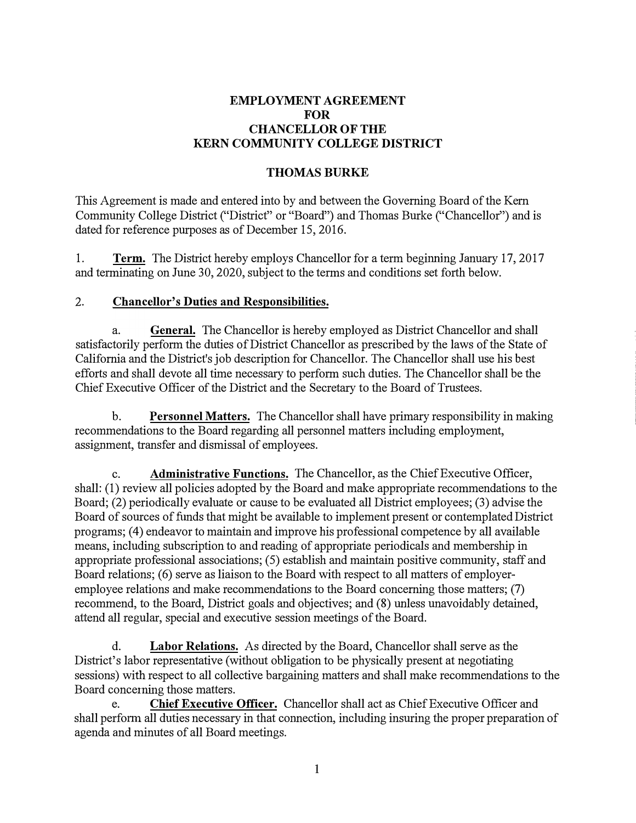### **EMPLOYMENT AGREEMENT FOR CHANCELLOR OF THE KERN COMMUNITY COLLEGE DISTRICT**

#### **THOMASBURKE**

This Agreement is made and entered into by and between the Governing Board of the Kem Community College District ("District" or "Board") and Thomas Burke ("Chancellor") and is dated for reference purposes as of December 15, 2016.

1. **Term.** The District hereby employs Chancellor for a term beginning January 17, 2017 and terminating on June 30, 2020, subject to the terms and conditions set forth below.

### 2. **Chancellor's Duties and Responsibilities.**

a. **General.** The Chancellor is hereby employed as District Chancellor and shall satisfactorily perform the duties of District Chancellor as prescribed by the laws of the State of California and the District's job description for Chancellor. The Chancellor shall use his best efforts and shall devote all time necessary to perform such duties. The Chancellor shall be the Chief Executive Officer of the District and the Secretary to the Board of Trustees.

b. **Personnel Matters.** The Chancellor shall have primary responsibility in making recommendations to the Board regarding all personnel matters including employment, assignment, transfer and dismissal of employees.

c. **Administrative Functions.** The Chancellor, as the Chief Executive Officer, shall: (1) review all policies adopted by the Board and make appropriate recommendations to the Board; (2) periodically evaluate or cause to be evaluated all District employees; (3) advise the Board of sources of funds that might be available to implement present or contemplated District programs; (4) endeavor to maintain and improve his professional competence by all available means, including subscription to and reading of appropriate periodicals and membership in appropriate professional associations; (5) establish and maintain positive community, staff and Board relations; (6) serve as liaison to the Board with respect to all matters of employeremployee relations and make recommendations to the Board concerning those matters; (7) recommend, to the Board, District goals and objectives; and (8) unless unavoidably detained, attend all regular, special and executive session meetings of the Board.

d. **Labor Relations.** As directed by the Board, Chancellor shall serve as the District's labor representative (without obligation to be physically present at negotiating sessions) with respect to all collective bargaining matters and shall make recommendations to the Board concerning those matters.

e. **Chief Executive Officer.** Chancellor shall act as Chief Executive Officer and shall perform all duties necessary in that connection, including insuring the proper preparation of agenda and minutes of all Board meetings.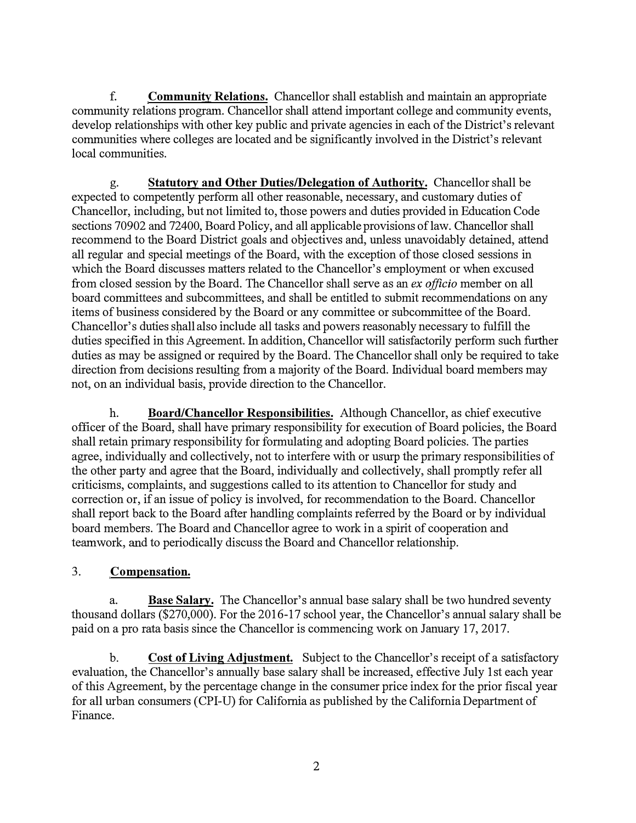f. **Community Relations.** Chancellor shall establish and maintain an appropriate community relations program. Chancellor shall attend important college and community events, develop relationships with other key public and private agencies in each of the District's relevant communities where colleges are located and be significantly involved in the District's relevant local communities.

g. **Statutory and Other Duties/Delegation of Authority.** Chancellor shall be expected to competently perform all other reasonable, necessary, and customary duties of Chancellor, including, but not limited to, those powers and duties provided in Education Code sections 70902 and 72400, Board Policy, and all applicable provisions of law. Chancellor shall recommend to the Board District goals and objectives and, unless unavoidably detained, attend all regular and special meetings of the Board, with the exception of those closed sessions in which the Board discusses matters related to the Chancellor's employment or when excused from closed session by the Board. The Chancellor shall serve as an *ex officio* member on all board committees and subcommittees, and shall be entitled to submit recommendations on any items of business considered by the Board or any committee or subcommittee of the Board. Chancellor's duties shall also include all tasks and powers reasonably necessary to fulfill the duties specified in this Agreement. In addition, Chancellor will satisfactorily perform such further duties as may be assigned or required by the Board. The Chancellor shall only be required to take direction from decisions resulting from a majority of the Board. Individual board members may not, on an individual basis, provide direction to the Chancellor.

h. **Board/Chancellor Responsibilities.** Although Chancellor, as chief executive officer of the Board, shall have primary responsibility for execution of Board policies, the Board shall retain primary responsibility for formulating and adopting Board policies. The parties agree, individually and collectively, not to interfere with or usurp the primary responsibilities of the other party and agree that the Board, individually and collectively, shall promptly refer all criticisms, complaints, and suggestions called to its attention to Chancellor for study and correction or, if an issue of policy is involved, for recommendation to the Board. Chancellor shall report back to the Board after handling complaints referred by the Board or by individual board members. The Board and Chancellor agree to work in a spirit of cooperation and teamwork, and to periodically discuss the Board and Chancellor relationship.

# 3. **Compensation.**

a. **Base Salary.** The Chancellor's annual base salary shall be two hundred seventy thousand dollars (\$270,000). For the 2016-17 school year, the Chancellor's annual salary shall be paid on a pro rata basis since the Chancellor is commencing work on January 17, 2017.

b. **Cost of Living Adjustment.** Subject to the Chancellor's receipt of a satisfactory evaluation, the Chancellor's annually base salary shall be increased, effective July 1st each year of this Agreement, by the percentage change in the consumer price index for the prior fiscal year for all urban consumers (CPI-U) for California as published by the California Department of Finance.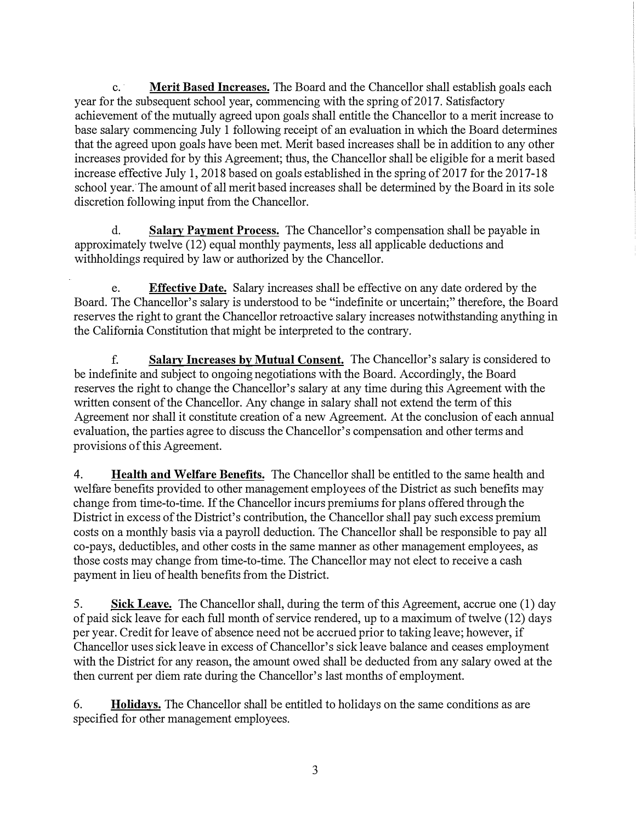c. · **Merit Based Increases.** The Board and the Chancellor shall establish goals each year for the subsequent school year, commencing with the spring of 2017. Satisfactory achievement of the mutually agreed upon goals shall entitle the Chancellor to a merit increase to base salary commencing July 1 following receipt of an evaluation in which the Board determines that the agreed upon goals have been met. Merit based increases shall be in addition to any other increases provided for by this Agreement; thus, the Chancellor shall be eligible for a merit based increase effective July 1, 2018 based on goals established in the spring of 2017 for the 2017-18 school year. The amount of all merit based increases shall be determined by the Board in its sole discretion following input from the Chancellor.

d. **Salary Payment Process.** The Chancellor's compensation shall be payable in approximately twelve (12) equal monthly payments, less all applicable deductions and withholdings required by law or authorized by the Chancellor.

e. **Effective Date.** Salary increases shall be effective on any date ordered by the Board. The Chancellor's salary is understood to be "indefinite or uncertain;" therefore, the Board reserves the right to grant the Chancellor retroactive salary increases notwithstanding anything in the California Constitution that might be interpreted to the contrary.

f. **Salary Increases by Mutual Consent.** The Chancellor's salary is considered to be indefinite and subject to ongoing negotiations with the Board. Accordingly, the Board reserves the right to change the Chancellor's salary at any time during this Agreement with the written consent of the Chancellor. Any change in salary shall not extend the term of this Agreement nor shall it constitute creation of a new Agreement. At the conclusion of each annual evaluation, the parties agree to discuss the Chancellor's compensation and other terms and provisions of this Agreement.

4. **Health and Welfare Benefits.** The Chancellor shall be entitled to the same health and welfare benefits provided to other management employees of the District as such benefits may change from time-to-time. If the Chancellor incurs premiums for plans offered through the District in excess of the District's contribution, the Chancellor shall pay such excess premium costs on a monthly basis via a payroll deduction. The Chancellor shall be responsible to pay all co-pays, deductibles, and other costs in the same manner as other management employees, as those costs may change from time-to-time. The Chancellor may not elect to receive a cash payment in lieu of health benefits from the District.

5. **Sick Leave.** The Chancellor shall, during the term of this Agreement, accrue one (1) day of paid sick leave for each full month of service rendered, up to a maximum of twelve (12) days per year. Credit for leave of absence need not be accrued prior to taking leave; however, if Chancellor uses sick leave in excess of Chancellor's sick leave balance and ceases employment with the District for any reason, the amount owed shall be deducted from any salary owed at the then current per diem rate during the Chancellor's last months of employment.

6. **Holidays.** The Chancellor shall be entitled to holidays on the same conditions as are specified for other management employees.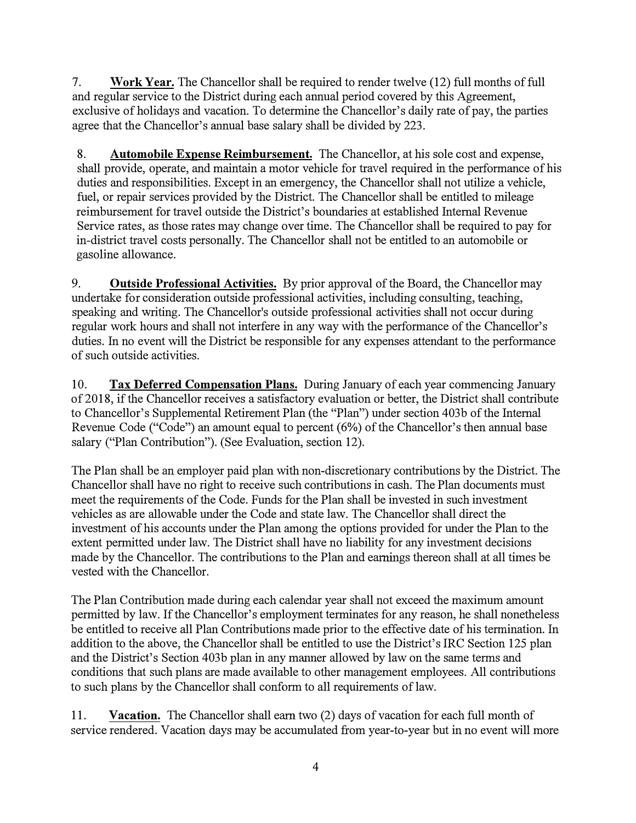7. **Work Year.** The Chancellor shall be required to render twelve (12) full months of full and regular service to the District during each annual period covered by this Agreement, exclusive of holidays and vacation. To determine the Chancellor's daily rate of pay, the parties agree that the Chancellor's annual base salary shall be divided by 223.

8. **Automobile Expense Reimbursement.** The Chancellor, at his sole cost and expense, shall provide, operate, and maintain a motor vehicle for travel required in the performance of his duties and responsibilities. Except in an emergency, the Chancellor shall not utilize a vehicle, fuel, or repair services provided by the District. The Chancellor shall be entitled to mileage reimbursement for travel outside the District's boundaries at established Internal Revenue Service rates, as those rates may change over time. The Chancellor shall be required to pay for in-district travel costs personally. The Chancellor shall not be entitled to an automobile or gasoline allowance.

9. **Outside Professional Activities.** By prior approval of the Board, the Chancellor may undertake for consideration outside professional activities, including consulting, teaching, speaking and writing. The Chancellor's outside professional activities shall not occur during regular work hours and shall not interfere in any way with the performance of the Chancellor's duties. In no event will the District be responsible for any expenses attendant to the performance of such outside activities.

10. **Tax Deferred Compensation Plans.** During January of each year commencing January of 2018, if the Chancellor receives a satisfactory evaluation or better, the District shall contribute to Chancellor's Supplemental Retirement Plan (the "Plan") under section 403b of the Internal Revenue Code ("Code") an amount equal to percent (6%) of the Chancellor's then annual base salary ("Plan Contribution"). (See Evaluation, section 12).

The Plan shall be an employer paid plan with non-discretionary contributions by the District. The Chancellor shall have no right to receive such contributions in cash. The Plan documents must meet the requirements of the Code. Funds for the Plan shall be invested in such investment vehicles as are allowable under the Code and state law. The Chancellor shall direct the investment of his accounts under the Plan among the options provided for under the Plan to the extent permitted under law. The District shall have no liability for any investment decisions made by the Chancellor. The contributions to the Plan and earnings thereon shall at all times be vested with the Chancellor.

The Plan Contribution made during each calendar year shall not exceed the maximum amount permitted by law. If the Chancellor's employment terminates for any reason, he shall nonetheless be entitled to receive all Plan Contributions made prior to the effective date of his termination. In addition to the above, the Chancellor shall be entitled to use the District's IRC Section 125 plan and the District's Section 403b plan in any manner allowed by law on the same terms and conditions that such plans are made available to other management employees. All contributions to such plans by the Chancellor shall conform to all requirements of law.

11. **Vacation.** The Chancellor shall earn two (2) days of vacation for each full month of service rendered. Vacation days may be accumulated from year-to-year but in no event will more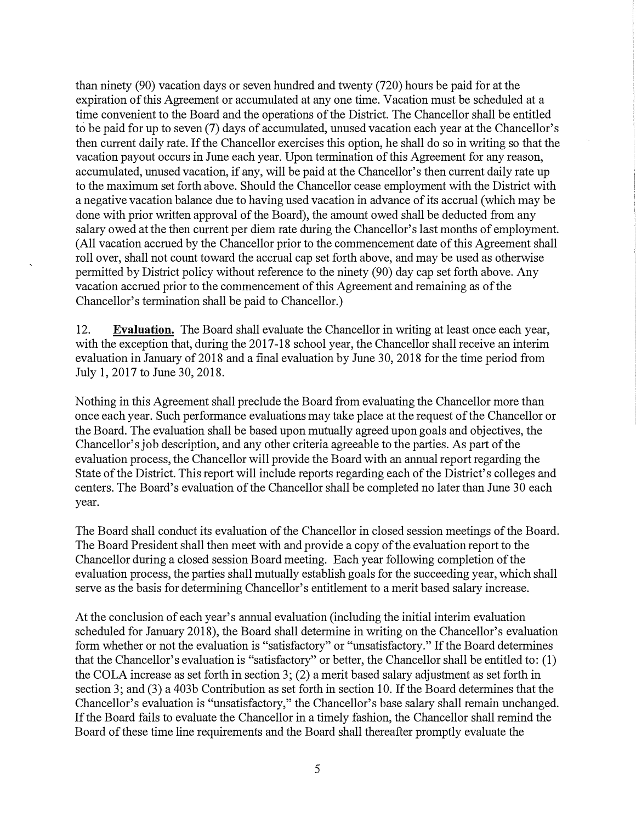than ninety (90) vacation days or seven hundred and twenty (720) hours be paid for at the expiration of this Agreement or accumulated at any one time. Vacation must be scheduled at a time convenient to the Board and the operations of the District. The Chancellor shall be entitled to be paid for up to seven (7) days of accumulated, unused vacation each year at the Chancellor's then current daily rate. If the Chancellor exercises this option, he shall do so in writing so that the vacation payout occurs in June each year. Upon termination of this Agreement for any reason, accumulated, unused vacation, if any, will be paid at the Chancellor's then current daily rate up to the maximum set forth above. Should the Chancellor cease employment with the District with a negative vacation balance due to having used vacation in advance of its accrual ( which may be done with prior written approval of the Board), the amount owed shall be deducted from any salary owed at the then current per diem rate during the Chancellor's last months of employment. (All vacation accrued by the Chancellor prior to the commencement date of this Agreement shall roll over, shall not count toward the accrual cap set forth above, and may be used as otherwise permitted by District policy without reference to the ninety (90) day cap set forth above. Any vacation accrued prior to the commencement of this Agreement and remaining as of the Chancellor's termination shall be paid to Chancellor.)

12. **Evaluation.** The Board shall evaluate the Chancellor in writing at least once each year, with the exception that, during the 2017-18 school year, the Chancellor shall receive an interim evaluation in January of 2018 and a final evaluation by June 30, 2018 for the time period from July 1, 2017 to June 30, 2018.

Nothing in this Agreement shall preclude the Board from evaluating the Chancellor more than once each year. Such performance evaluations may take place at the request of the Chancellor or the Board. The evaluation shall be based upon mutually agreed upon goals and objectives, the Chancellor's job description, and any other criteria agreeable to the parties. As part of the evaluation process, the Chancellor will provide the Board with an annual report regarding the State of the District. This report will include reports regarding each of the District's colleges and centers. The Board's evaluation of the Chancellor shall be completed no later than June 30 each year.

The Board shall conduct its evaluation of the Chancellor in closed session meetings of the Board. The Board President shall then meet with and provide a copy of the evaluation report to the Chancellor during a closed session Board meeting. Each year following completion of the evaluation process, the parties shall mutually establish goals for the succeeding year, which shall serve as the basis for determining Chancellor's entitlement to a merit based salary increase.

At the conclusion of each year's annual evaluation (including the initial interim evaluation scheduled for January 2018), the Board shall determine in writing on the Chancellor's evaluation form whether or not the evaluation is "satisfactory" or "unsatisfactory." If the Board determines that the Chancellor's evaluation is "satisfactory" or better, the Chancellor shall be entitled to: (1) the COLA increase as set forth in section 3; (2) a merit based salary adjustment as set forth in section 3; and (3) a 403b Contribution as set forth in section 10. If the Board determines that the Chancellor's evaluation is "unsatisfactory," the Chancellor's base salary shall remain unchanged. If the Board fails to evaluate the Chancellor in a timely fashion, the Chancellor shall remind the Board of these time line requirements and the Board shall thereafter promptly evaluate the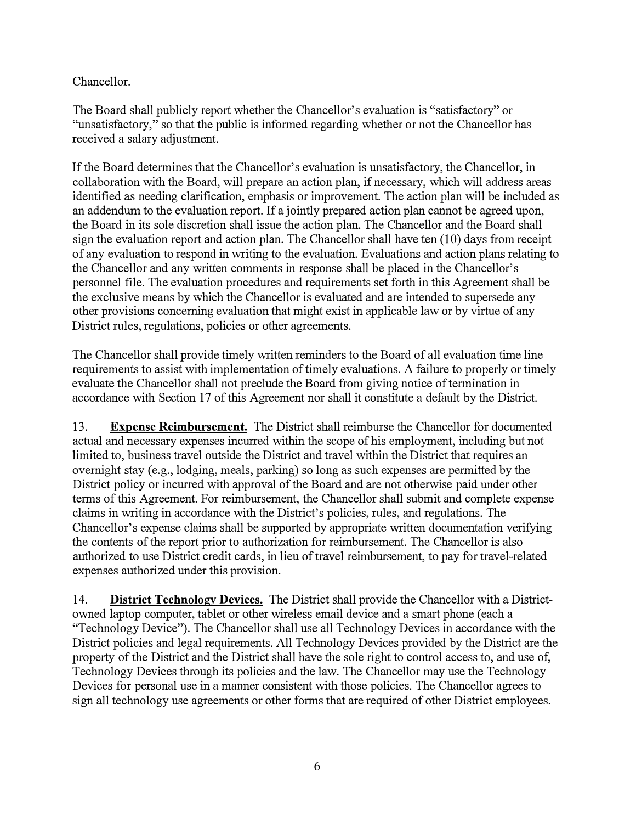Chancellor.

The Board shall publicly report whether the Chancellor's evaluation is "satisfactory" or "unsatisfactory," so that the public is informed regarding whether or not the Chancellor has received a salary adjustment.

If the Board determines that the Chancellor's evaluation is unsatisfactory, the Chancellor, in collaboration with the Board, will prepare an action plan, if necessary, which will address areas identified as needing clarification, emphasis or improvement. The action plan will be included as an addendum to the evaluation report. If a jointly prepared action plan cannot be agreed upon, the Board in its sole discretion shall issue the action plan. The Chancellor and the Board shall sign the evaluation report and action plan. The Chancellor shall have ten (10) days from receipt of any evaluation to respond in writing to the evaluation. Evaluations and action plans relating to the Chancellor and any written comments in response shall be placed in the Chancellor's personnel file. The evaluation procedures and requirements set forth in this Agreement shall be the exclusive means by which the Chancellor is evaluated and are intended to supersede any other provisions concerning evaluation that might exist in applicable law or by virtue of any District rules, regulations, policies or other agreements.

The Chancellor shall provide timely written reminders to the Board of all evaluation time line requirements to assist with implementation of timely evaluations. A failure to properly or timely evaluate the Chancellor shall not preclude the Board from giving notice of termination in accordance with Section 17 of this Agreement nor shall it constitute a default by the District.

13. **Expense Reimbursement.** The District shall reimburse the Chancellor for documented actual and necessary expenses incurred within the scope of his employment, including but not limited to, business travel outside the District and travel within the District that requires an overnight stay (e.g., lodging, meals, parking) so long as such expenses are permitted by the District policy or incurred with approval of the Board and are not otherwise paid under other terms of this Agreement. For reimbursement, the Chancellor shall submit and complete expense claims in writing in accordance with the District's policies, rules, and regulations. The Chancellor's expense claims shall be supported by appropriate written documentation verifying the contents of the report prior to authorization for reimbursement. The Chancellor is also authorized to use District credit cards, in lieu of travel reimbursement, to pay for travel-related expenses authorized under this provision.

14. **District Technology Devices.** The District shall provide the Chancellor with a Districtowned laptop computer, tablet or other wireless email device and a smart phone (each a "Technology Device"). The Chancellor shall use all Technology Devices in accordance with the District policies and legal requirements. All Technology Devices provided by the District are the property of the District and the District shall have the sole right to control access to, and use of, Technology Devices through its policies and the law. The Chancellor may use the Technology Devices for personal use in a manner consistent with those policies. The Chancellor agrees to sign all technology use agreements or other forms that are required of other District employees.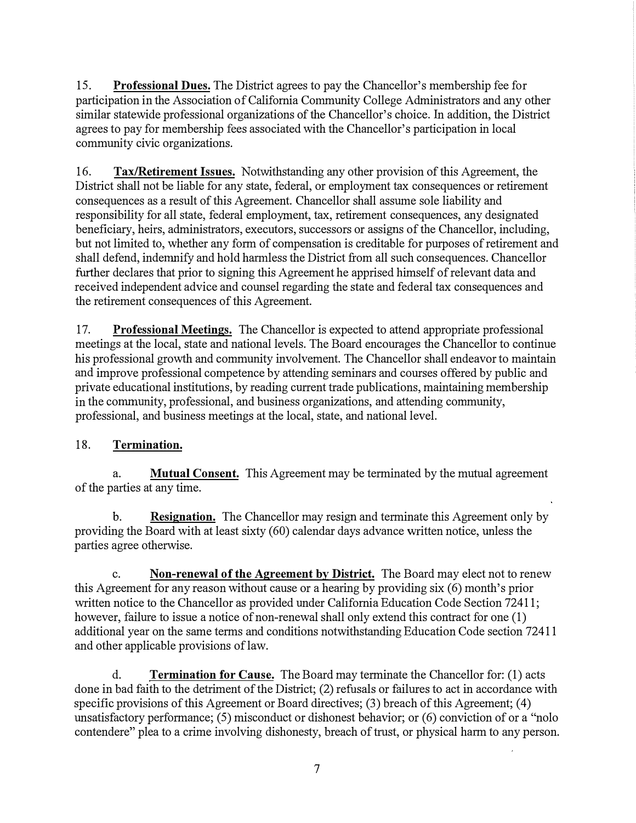15. **Professional Dues.** The District agrees to pay the Chancellor's membership fee for participation in the Association of California Community College Administrators and any other similar statewide professional organizations of the Chancellor's choice. In addition, the District agrees to pay for membership fees associated with the Chancellor's participation in local community civic organizations.

16. **Tax/Retirement Issues.** Notwithstanding any other provision of this Agreement, the District shall not be liable for any state, federal, or employment tax consequences or retirement consequences as a result of this Agreement. Chancellor shall assume sole liability and responsibility for all state, federal employment, tax, retirement consequences, any designated beneficiary, heirs, administrators, executors, successors or assigns of the Chancellor, including, but not limited to, whether any form of compensation is creditable for purposes of retirement and shall defend, indemnify and hold harmless the District from all such consequences. Chancellor further declares that prior to signing this Agreement he apprised himself of relevant data and received independent advice and counsel regarding the state and federal tax consequences and the retirement consequences of this Agreement.

17. **Professional Meetings.** The Chancellor is expected to attend appropriate professional meetings at the local, state and national levels. The Board encourages the Chancellor to continue his professional growth and community involvement. The Chancellor shall endeavor to maintain and improve professional competence by attending seminars and courses offered by public and private educational institutions, by reading current trade publications, maintaining membership in the community, professional, and business organizations, and attending community, professional, and business meetings at the local, state, and national level.

## 18. **Termination.**

a. **Mutual Consent.** This Agreement may be terminated by the mutual agreement of the parties at any time.

**b. Resignation.** The Chancellor may resign and terminate this Agreement only by providing the Board with at least sixty (60) calendar days advance written notice, unless the parties agree otherwise.

c. **Non-renewal of the Agreement** by **District.** The Board may elect not to renew this Agreement for any reason without cause or a hearing by providing six (6) month's prior written notice to the Chancellor as provided under California Education Code Section 72411; however, failure to issue a notice of non-renewal shall only extend this contract for one (1) additional year on the same terms and conditions notwithstanding Education Code section 72411 and other applicable provisions of law.

d. **Termination for Cause.** The Board may terminate the Chancellor for: (1) acts done in bad faith to the detriment of the District; (2) refusals or failures to act in accordance with specific provisions of this Agreement or Board directives; (3) breach of this Agreement; (4) unsatisfactory performance; (5) misconduct or dishonest behavior; or (6) conviction of or a "nolo contendere" plea to a crime involving dishonesty, breach of trust, or physical harm to any person.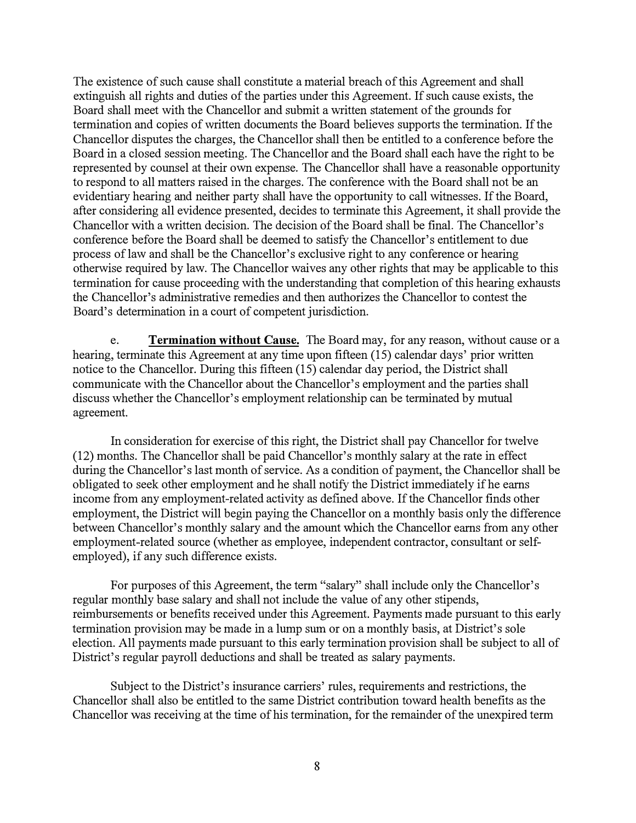The existence of such cause shall constitute a material breach of this Agreement and shall extinguish all rights and duties of the parties under this Agreement. If such cause exists, the Board shall meet with the Chancellor and submit a written statement of the grounds for termination and copies of written documents the Board believes supports the termination. If the Chancellor disputes the charges, the Chancellor shall then be entitled to a conference before the Board in a closed session meeting. The Chancellor and the Board shall each have the right to be represented by counsel at their own expense. The Chancellor shall have a reasonable opportunity to respond to all matters raised in the charges. The conference with the Board shall not be an evidentiary hearing and neither party shall have the opportunity to call witnesses. If the Board, after considering all evidence presented, decides to terminate this Agreement, it shall provide the Chancellor with a written decision. The decision of the Board shall be final. The Chancellor's conference before the Board shall be deemed to satisfy the Chancellor's entitlement to due process of law and shall be the Chancellor's exclusive right to any conference or hearing otherwise required by law. The Chancellor waives any other rights that may be applicable to this termination for cause proceeding with the understanding that completion of this hearing exhausts the Chancellor's administrative remedies and then authorizes the Chancellor to contest the Board's determination in a court of competent jurisdiction.

e. **Termination without Cause.** The Board may, for any reason, without cause or a hearing, terminate this Agreement at any time upon fifteen (15) calendar days' prior written notice to the Chancellor. During this fifteen (15) calendar day period, the District shall communicate with the Chancellor about the Chancellor's employment and the parties shall discuss whether the Chancellor's employment relationship can be terminated by mutual agreement.

In consideration for exercise of this right, the District shall pay Chancellor for twelve (12) months. The Chancellor shall be paid Chancellor's monthly salary at the rate in effect during the Chancellor's last month of service. As a condition of payment, the Chancellor shall be obligated to seek other employment and he shall notify the District immediately if he earns income from any employment-related activity as defined above. If the Chancellor finds other employment, the District will begin paying the Chancellor on a monthly basis only the difference between Chancellor's monthly salary and the amount which the Chancellor earns from any other employment-related source (whether as employee, independent contractor, consultant or selfemployed), if any such difference exists.

For purposes of this Agreement, the term "salary" shall include only the Chancellor's regular monthly base salary and shall not include the value of any other stipends, reimbursements or benefits received under this Agreement. Payments made pursuant to this early termination provision may be made in a lump sum or on a monthly basis, at District's sole election. All payments made pursuant to this early termination provision shall be subject to all of District's regular payroll deductions and shall be treated as salary payments.

Subject to the District's insurance carriers' rules, requirements and restrictions, the Chancellor shall also be entitled to the same District contribution toward health benefits as the Chancellor was receiving at the time of his termination, for the remainder of the unexpired term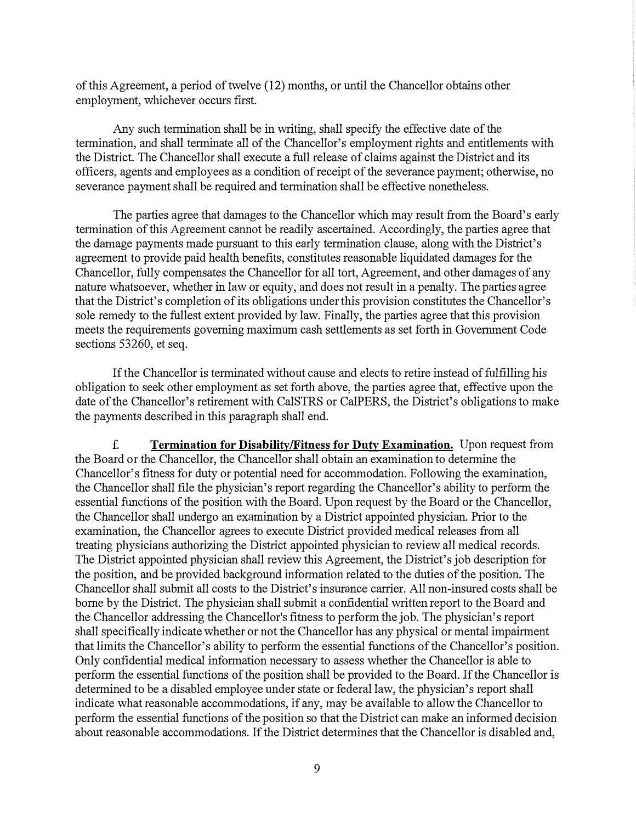of this Agreement, a period of twelve (12) months, or until the Chancellor obtains other employment, whichever occurs first.

Any such termination shall be in writing, shall specify the effective date of the termination, and shall terminate all of the Chancellor's employment rights and entitlements with the District. The Chancellor shall execute a full release of claims against the District and its officers, agents and employees as a condition of receipt of the severance payment; otherwise, no severance payment shall be required and termination shall be effective nonetheless.

The parties agree that damages to the Chancellor which may result from the Board's early termination of this Agreement cannot be readily ascertained. Accordingly, the parties agree that the damage payments made pursuant to this early termination clause, along with the District's agreement to provide paid health benefits, constitutes reasonable liquidated damages for the Chancellor, fully compensates the Chancellor for all tort, Agreement, and other damages of any nature whatsoever, whether in law or equity, and does not result in a penalty. The parties agree that the District's completion of its obligations under this provision constitutes the Chancellor's sole remedy to the fullest extent provided by law. Finally, the parties agree that this provision meets the requirements governing maximum cash settlements as set forth in Government Code sections 53260, et seq.

If the Chancellor is terminated without cause and elects to retire instead of fulfilling his obligation to seek other employment as set forth above, the parties agree that, effective upon the date of the Chancellor's retirement with CalSTRS or CalPERS, the District's obligations to make the payments described in this paragraph shall end.

f. **Termination for Disability/Fitness for Duty Examination.** Upon request from the Board or the Chancellor, the Chancellor shall obtain an examination to determine the Chancellor's fitness for duty or potential need for accommodation. Following the examination, the Chancellor shall file the physician's report regarding the Chancellor's ability to perform the essential functions of the position with the Board. Upon request by the Board or the Chancellor, the Chancellor shall undergo an examination by a District appointed physician. Prior to the examination, the Chancellor agrees to execute District provided medical releases from all treating physicians authorizing the District appointed physician to review all medical records. The District appointed physician shall review this Agreement, the District's job description for the position, and be provided background information related to the duties of the position. The Chancellor shall submit all costs to the District's insurance carrier. All non-insured costs shall be borne by the District. The physician shall submit a confidential written report to the Board and the Chancellor addressing the Chancellor's fitness to perform the job. The physician's report shall specifically indicate whether or not the Chancellor has any physical or mental impairment that limits the Chancellor's ability to perform the essential functions of the Chancellor's position. Only confidential medical information necessary to assess whether the Chancellor is able to perform the essential functions of the position shall be provided to the Board. If the Chancellor is determined to be a disabled employee under state or federal law, the physician's report shall indicate what reasonable accommodations, if any, may be available to allow the Chancellor to perform the essential functions of the position so that the District can make an informed decision about reasonable accommodations. If the District determines that the Chancellor is disabled and,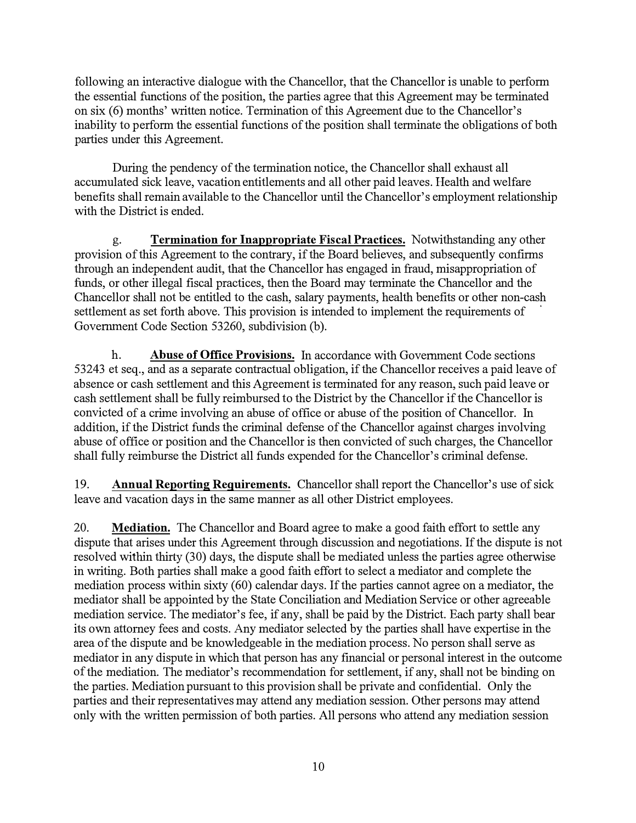following an interactive dialogue with the Chancellor, that the Chancellor is unable to perform the essential functions of the position, the parties agree that this Agreement may be terminated on six (6) months' written notice. Termination of this Agreement due to the Chancellor's inability to perform the essential functions of the position shall terminate the obligations of both parties under this Agreement.

During the pendency of the termination notice, the Chancellor shall exhaust all accumulated sick leave, vacation entitlements and all other paid leaves. Health and welfare benefits shall remain available to the Chancellor until the Chancellor's employment relationship with the District is ended.

g. **Termination for Inappropriate Fiscal Practices.** Notwithstanding any other provision of this Agreement to the contrary, if the Board believes, and subsequently confirms through an independent audit, that the Chancellor has engaged in fraud, misappropriation of funds, or other illegal fiscal practices, then the Board may terminate the Chancellor and the Chancellor shall not be entitled to the cash, salary payments, health benefits or other non-cash settlement as set forth above. This provision is intended to implement the requirements of Government Code Section 53260, subdivision (b).

h. **Abuse of Office Provisions.** In accordance with Government Code sections 53243 et seq., and as a separate contractual obligation, if the Chancellor receives a paid leave of absence or cash settlement and this Agreement is terminated for any reason, such paid leave or cash settlement shall be fully reimbursed to the District by the Chancellor if the Chancellor is convicted of a crime involving an abuse of office or abuse of the position of Chancellor. In addition, if the District funds the criminal defense of the Chancellor against charges involving abuse of office or position and the Chancellor is then convicted of such charges, the Chancellor shall fully reimburse the District all funds expended for the Chancellor's criminal defense.

19. **Annual Reporting Requirements.** Chancellor shall report the Chancellor's use of sick leave and vacation days in the same manner as all other District employees.

20. **Mediation.** The Chancellor and Board agree to make a good faith effort to settle any dispute that arises under this Agreement through discussion and negotiations. If the dispute is not resolved within thirty (30) days, the dispute shall be mediated unless the parties agree otherwise in writing. Both parties shall make a good faith effort to select a mediator and complete the mediation process within sixty (60) calendar days. If the parties cannot agree on a mediator, the mediator shall be appointed by the State Conciliation and Mediation Service or other agreeable mediation service. The mediator's fee, if any, shall be paid by the District. Each party shall bear its own attorney fees and costs. Any mediator selected by the parties shall have expertise in the area of the dispute and be knowledgeable in the mediation process. No person shall serve as mediator in any dispute in which that person has any financial or personal interest in the outcome of the mediation. The mediator's recommendation for settlement, if any, shall not be binding on the parties. Mediation pursuant to this provision shall be private and confidential. Only the parties and their representatives may attend any mediation session. Other persons may attend only with the written permission of both parties. All persons who attend any mediation session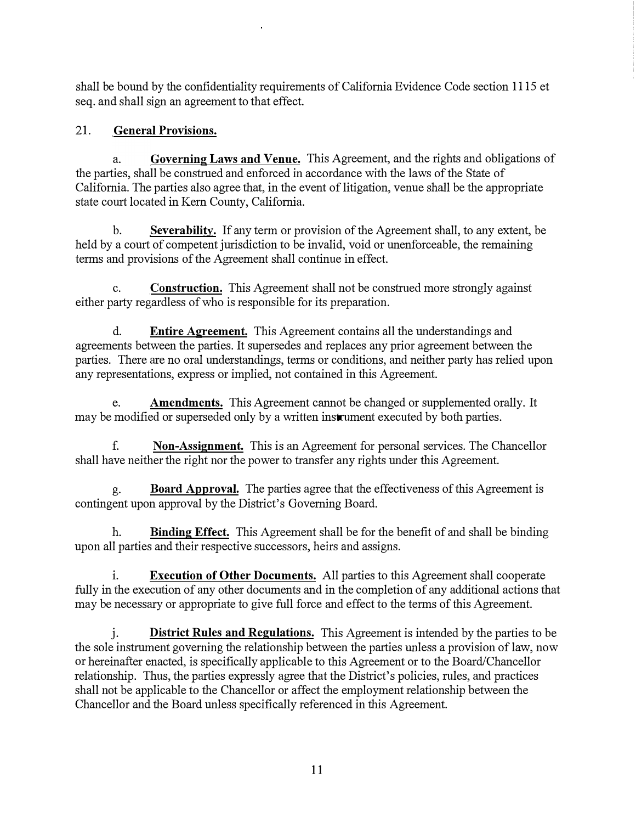shall be bound by the confidentiality requirements of California Evidence Code section 1115 et seq. and shall sign an agreement to that effect.

# 21. **General Provisions.**

a. **Governing Laws and Venue.** This Agreement, and the rights and obligations of the parties, shall be construed and enforced in accordance with the laws of the State of California. The parties also agree that, in the event of litigation, venue shall be the appropriate state court located in Kern County, California.

b. **Severability.** If any term or provision of the Agreement shall, to any extent, be held by a court of competent jurisdiction to be invalid, void or unenforceable, the remaining terms and provisions of the Agreement shall continue in effect.

c. **Construction.** This Agreement shall not be construed more strongly against either party regardless of who is responsible for its preparation.

d. **Entire Agreement.** This Agreement contains all the understandings and agreements between the parties. It supersedes and replaces any prior agreement between the parties. There are no oral understandings, terms or conditions, and neither party has relied upon any representations, express or implied, not contained in this Agreement.

e. **Amendments.** This Agreement cannot be changed or supplemented orally. It may be modified or superseded only by a written instrument executed by both parties.

f. **Non-Assignment.** This is an Agreement for personal services. The Chancellor shall have neither the right nor the power to transfer any rights under this Agreement.

g. **Board Approval.** The parties agree that the effectiveness of this Agreement is contingent upon approval by the District's Governing Board.

h. **Binding Effect.** This Agreement shall be for the benefit of and shall be binding upon all parties and their respective successors, heirs and assigns.

i. **Execution of Other Documents.** All parties to this Agreement shall cooperate fully in the execution of any other documents and in the completion of any additional actions that may be necessary or appropriate to give full force and effect to the terms of this Agreement.

j. **District Rules and Regulations.** This Agreement is intended by the parties to be the sole instrument governing the relationship between the parties unless a provision of law, now or hereinafter enacted, is specifically applicable to this Agreement or to the Board/Chancellor relationship. Thus, the parties expressly agree that the District's policies, rules, and practices shall not be applicable to the Chancellor or affect the employment relationship between the Chancellor and the Board unless specifically referenced in this Agreement.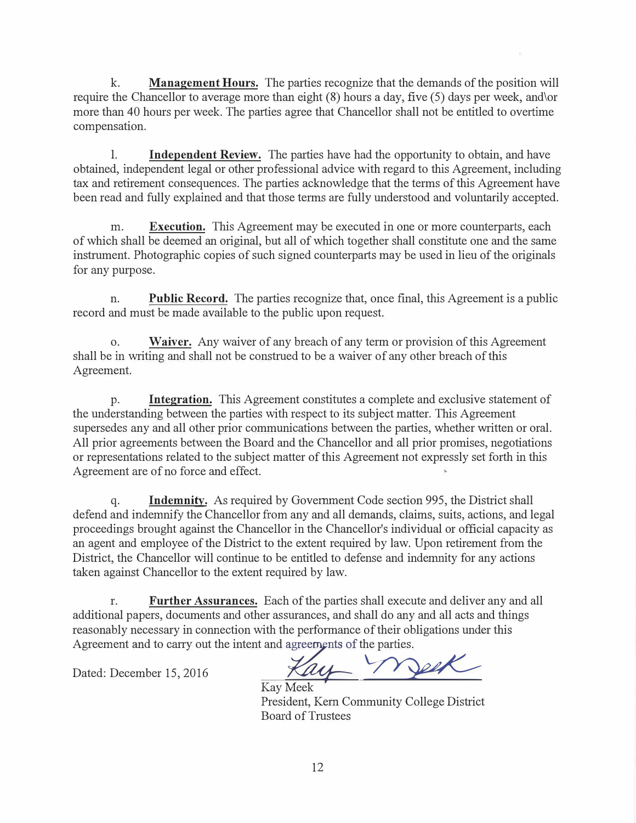k. **Management Hours.** The parties recognize that the demands of the position will require the Chancellor to average more than eight (8) hours a day, five (5) days per week, and\or more than 40 hours per week. The parties agree that Chancellor shall not be entitled to overtime compensation.

1. **Independent Review.** The parties have had the opportunity to obtain, and have obtained, independent legal or other professional advice with regard to this Agreement, including tax and retirement consequences. The parties acknowledge that the terms of this Agreement have been read and fully explained and that those terms are fully understood and voluntarily accepted.

m. **Execution.** This Agreement may be executed in one or more counterparts, each of which shall be deemed an original, but all of which together shall constitute one and the same instrument. Photographic copies of such signed counterparts may be used in lieu of the originals for any purpose.

n. **Public Record.** The parties recognize that, once final, this Agreement is a public record and must be made available to the public upon request.

o. **Waiver.** Any waiver of any breach of any term or provision of this Agreement shall be in writing and shall not be construed to be a waiver of any other breach of this Agreement.

p. **Integration.** This Agreement constitutes a complete and exclusive statement of the understanding between the parties with respect to its subject matter. This Agreement supersedes any and all other prior communications between the parties, whether written or oral. All prior agreements between the Board and the Chancellor and all prior promises, negotiations or representations related to the subject matter of this Agreement not expressly set forth in this Agreement are of no force and effect.

q. **Indemnity.** As required by Government Code section 995, the District shall defend and indemnify the Chancellor from any and all demands, claims, suits, actions, and legal proceedings brought against the Chancellor in the Chancellor's individual or official capacity as an agent and employee of the District to the extent required by law. Upon retirement from the District, the Chancellor will continue to be entitled to defense and indemnity for any actions taken against Chancellor to the extent required by law.

r. **Further Assurances.** Each of the parties shall execute and deliver any and all additional papers, documents and other assurances, and shall do any and all acts and things reasonably necessary in connection with the performance of their obligations under this Agreement and to carry out the intent and reasonably necessary in connection with the performance of their obligations under this

Dated: December 15, 2016

 $u\sim$ �

Kay Meek President, Kem Community College District Board of Trustees